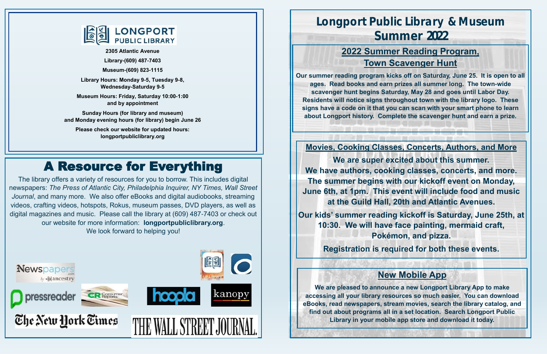The library offers a variety of resources for you to borrow. This includes digital newspapers: *The Press of Atlantic City, Philadelphia Inquirer, NY Times, Wall Street Journal*, and many more. We also offer eBooks and digital audiobooks, streaming videos, crafting videos, hotspots, Rokus, museum passes, DVD players, as well as digital magazines and music. Please call the library at (609) 487-7403 or check out our website for more information: **longportpubliclibrary.org**. We look forward to helping you!

# A Resource for Everything



# **Longport Public Library & Museum Summer 2022**

**Movies, Cooking Classes, Concerts, Authors, and More**

**We are super excited about this summer. We have authors, cooking classes, concerts, and more. The summer begins with our kickoff event on Monday, June 6th, at 1pm. This event will include food and music at the Guild Hall, 20th and Atlantic Avenues.**

**Our kids' summer reading kickoff is Saturday, June 25th, at 10:30. We will have face painting, mermaid craft, Pokémon, and pizza.**

**Registration is required for both these events.**

## **2022 Summer Reading Program, Town Scavenger Hunt**

**Our summer reading program kicks off on Saturday, June 25. It is open to all ages. Read books and earn prizes all summer long. The town-wide scavenger hunt begins Saturday, May 28 and goes until Labor Day. Residents will notice signs throughout town with the library logo. These signs have a code on it that you can scan with your smart phone to learn about Longport history. Complete the scavenger hunt and earn a prize.**

## **New Mobile App**

**We are pleased to announce a new Longport Library App to make accessing all your library resources so much easier. You can download eBooks, read newspapers, stream movies, search the library catalog, and find out about programs all in a set location. Search Longport Public Library in your mobile app store and download it today.**



**2305 Atlantic Avenue**

٦

**Library-(609) 487-7403**

**Museum-(609) 823-1115**

**Library Hours: Monday 9-5, Tuesday 9-8, Wednesday-Saturday 9-5**

**Museum Hours: Friday, Saturday 10:00-1:00 and by appointment**

**Sunday Hours (for library and museum) and Monday evening hours (for library) begin June 26**

**Please check our website for updated hours: longportpubliclibrary.org**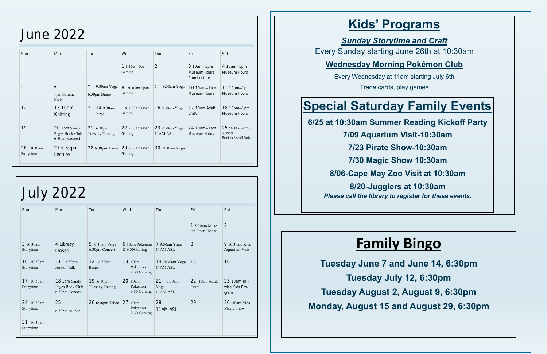# **Family Bingo**

**Tuesday June 7 and June 14, 6:30pm Tuesday July 12, 6:30pm Tuesday August 2, August 9, 6:30pm Monday, August 15 and August 29, 6:30pm**

# **Kids' Programs**

## *Sunday Storytime and Craft* Every Sunday starting June 26th at 10:30am

## **Wednesday Morning Pokémon Club**

Every Wednesday at 11am starting July 6th

Trade cards, play games

# **Special Saturday Family Events**

**6/25 at 10:30am Summer Reading Kickoff Party**

**7/09 Aquarium Visit-10:30am**

**7/23 Pirate Show-10:30am**

**7/30 Magic Show 10:30am**

**8/06-Cape May Zoo Visit at 10:30am**

**8/20-Jugglers at 10:30am** *Please call the library to register for these events.*

# June 2022

| Sun                     | Mon                                               | Tue                          | Wed                       | Thu                        | Fri                                       | Sat                                                 |
|-------------------------|---------------------------------------------------|------------------------------|---------------------------|----------------------------|-------------------------------------------|-----------------------------------------------------|
|                         |                                                   |                              | $19:30$ am Open<br>Gaming | $\overline{2}$             | 3 10am-1pm<br>Museum Hours<br>2pm Lecture | 4 10am-1pm<br>Museum Hours                          |
| 5                       | 6                                                 | 7<br>9:30am Yoga             | 8<br>9:30am Open          | 9:30am Yoga                | 10 10am-1pm                               | 11 10am-1pm                                         |
|                         | 1pm Summer<br>Party                               | 6:30pm Bingo                 | Gaming                    |                            | Museum Hours                              | Museum Hours                                        |
| 12                      | 13 10am<br>Knitting                               | 149:30am<br>7<br>Yoga        | 15 9:30am Open<br>Gaming  | 16 9:30am Yoga             | 17 10am-Adult<br>Craft                    | 18 10am-1pm<br>Museum Hours                         |
| 19                      | 20 1pm Sandy<br>Pages Book Club<br>6:30pm Concert | 21 6:30pm<br>Tuesday Tasting | 22 9:30am Open<br>Gaming  | 23 9:30am Yoga<br>11AM ASL | 24 10am-1pm<br>Museum Hours               | 25 10:30 am-12pm<br>Summer<br>Reading Kickoff Party |
| 26 10:30am<br>Storytime | 27 6:30pm<br>Lecture                              | 28 6:30pm Trivia             | 29 9:30am Open<br>Gaming  | 30 9:30am Yoga             |                                           |                                                     |

| <b>July 2022</b>        |                                                   |                                     |                                   |                                     |                                         |                                         |  |  |
|-------------------------|---------------------------------------------------|-------------------------------------|-----------------------------------|-------------------------------------|-----------------------------------------|-----------------------------------------|--|--|
| Sun                     | Mon                                               | Tue                                 | Wed                               | Thu                                 | Fri                                     | Sat                                     |  |  |
|                         |                                                   |                                     |                                   |                                     | $15:30 \text{pm Muse}$<br>um Open House | $\overline{2}$                          |  |  |
| 3 10:30am<br>Storytime  | 4 Library<br>Closed                               | 5 9:30am Yoga<br>6:30pm Concert     | 6 10am Pokémon<br>& 9:30Gaming    | 7 9:30am Yoga<br>11AM ASL           | 8                                       | $910:30$ am Kids<br>Aquarium Visit      |  |  |
| 10 10:30am<br>Storytime | 11<br>6:30 <sub>pm</sub><br><b>Author Talk</b>    | 12 $6:30 \text{pm}$<br>Bingo        | 13 10am<br>Pokemon<br>9:30 Gaming | 14 9:30am Yoga<br>11AM ASL          | 15                                      | 16                                      |  |  |
| 17 10:30am<br>Storytime | 18 1pm Sandy<br>Pages Book Club<br>6:30pm Concert | 19 6:30pm<br><b>Tuesday Tasting</b> | 20 10am<br>Pokemon<br>9:30 Gaming | 21<br>$9:30$ am<br>Yoga<br>11AM-ASL | 22 10am Adult<br>Craft                  | 23 10am Tail-<br>wise Kids Pro-<br>gram |  |  |
| 24 10:30am<br>Storytime | 25<br>6:30pm Author                               | 26 6:30pm Trivia                    | 27 10am<br>Pokemon<br>9:30 Gaming | 28<br>11AM ASL                      | 29                                      | 30 10am Kids<br>Magic Show              |  |  |
| 31 10:30am<br>Storytime |                                                   |                                     |                                   |                                     |                                         |                                         |  |  |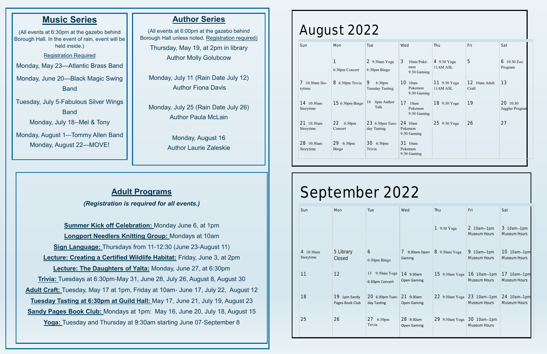### **Author Series**

(All events at 6:00pm at the gazebo behind Borough Hall unless noted. Registration required)

Thursday, May 19, at 2pm in library Author Molly Golubcow

Monday, July 11 (Rain Date July 12) Author Fiona Davis

Monday, July 25 (Rain Date July 26) Author Paula McLain

> Monday, August 16 Author Laurie Zaleskie

## **Music Series**

(All events at 6:30pm at the gazebo behind Borough Hall. In the event of rain, event will be held inside.)

Registration Required

Monday, May 23—Atlantic Brass Band

Monday, June 20—Black Magic Swing Band

Tuesday, July 5-Fabulous Silver Wings **Band** Monday, July 18--Mel & Tony

Monday, August 1–-Tommy Allen Band Monday, August 22—MOVE!

## **Adult Programs**

*(Registration is required for all events.)*

**Summer Kick off Celebration:** Monday June 6, at 1pm **Longport Needlers Knitting Group:** Mondays at 10am **Sign Language:** Thursdays from 11-12:30 (June 23-August 11) **Lecture: Creating a Certified Wildlife Habitat:** Friday, June 3, at 2pm **Lecture: The Daughters of Yalta:** Monday, June 27, at 6:30pm **Trivia:** Tuesdays at 6:30pm-May 31, June 28, July 26, August 8, August 30 **Adult Craft:** Tuesday, May 17 at 1pm, Friday at 10am- June 17, July 22, August 12 **Tuesday Tasting at 6:30pm at Guild Hall:** May 17, June 21, July 19, August 23 **Sandy Pages Book Club:** Mondays at 1pm: May 16, June 20, July 18, August 15 **Yoga:** Tuesday and Thursday at 9:30am starting June 07-September 8

# August 2022

| Sun                          | <b>Mon</b>                        | Tue                             | Wed                                   | Thu                      | Fri                    | Sat                         |
|------------------------------|-----------------------------------|---------------------------------|---------------------------------------|--------------------------|------------------------|-----------------------------|
|                              | 1<br>6:30pm Concert               | $29:30$ am Yoga<br>6:30pm Bingo | 3<br>10am Poké-<br>mon<br>9:30 Gaming | 4 9:30 Yoga<br>11AM ASL  | 5                      | 6<br>$10:30$ Zoo<br>Program |
| $7\;10:30$ am Sto-<br>rytime | $8.6:30$ pm Trivia                | 9<br>6:30pm<br>Tuesday Tasting  | 10<br>10am<br>Pokemon<br>9:30 Gaming  | 11 9:30 Yoga<br>11AM ASL | 12 10am Adult<br>Craft | 13                          |
| 14 10:30am<br>Storytime      | $156:30 \text{pm Bingo}$          | 6pm Author<br>16<br>Talk        | 17<br>10am<br>Pokemon<br>9:30 Gaming  | 18 9:30 Yoga             | 19                     | 20 10:30<br>Juggler Progran |
| 21<br>10:30am<br>Storytime   | 22<br>6:30pm<br>Concert           | 23 6:30pm Tues-<br>day Tasting  | 24 10am<br>Pokemon<br>9:30 Gaming     | 25 9:30 Yoga             | 26                     | 27                          |
| 28<br>10:30am<br>Storytime   | 29<br>6:30 <sub>pm</sub><br>Bingo | 30 6:30pm<br>Trivia             | 31<br>10am<br>Pokemon<br>9:30 Gaming  |                          |                        |                             |

# September 2022

| Sun                        | Mon                               | Tue                              | Wed                                 | Thu               | Fri                         | Sat                         |
|----------------------------|-----------------------------------|----------------------------------|-------------------------------------|-------------------|-----------------------------|-----------------------------|
|                            |                                   |                                  |                                     | 19:30Yoga         | 2 10am-1pm<br>Museum Hours  | 3 10am-1pm<br>Museum Hours  |
| $4\;10:30$ am<br>Storytime | 5 Library<br>Closed               | 6<br>6:30pm Bingo                | 9:30am Open<br>$\sqrt{2}$<br>Gaming | $8\,9:30$ am Yoga | 9 10am-1pm<br>Museum Hours  | 10 10am-1pm<br>Museum Hours |
| 11                         | 12                                | 13 9:30am Yoga<br>6:30pm Concert | $14$ 9:30am<br><b>Open Gaming</b>   | $15$ 9:30am Yoga  | 16 10am-1pm<br>Museum Hours | 17 10am-1pm<br>Museum Hours |
| 18                         | $19$ 1pm Sandy<br>Pages Book Club | 20 6:30pm Tues-<br>day Tasting   | $21$ 9:30am<br><b>Open Gaming</b>   | $22$ 9:30am Yoga  | 23 10am-1pm<br>Museum Hours | 24 10am-1pm<br>Museum Hours |
| 25                         | 26                                | 27 6:30pm<br>Trivia              | 28 9:30am<br><b>Open Gaming</b>     | 29 9:30am Yoga    | 30 10am-1pm<br>Museum Hours |                             |